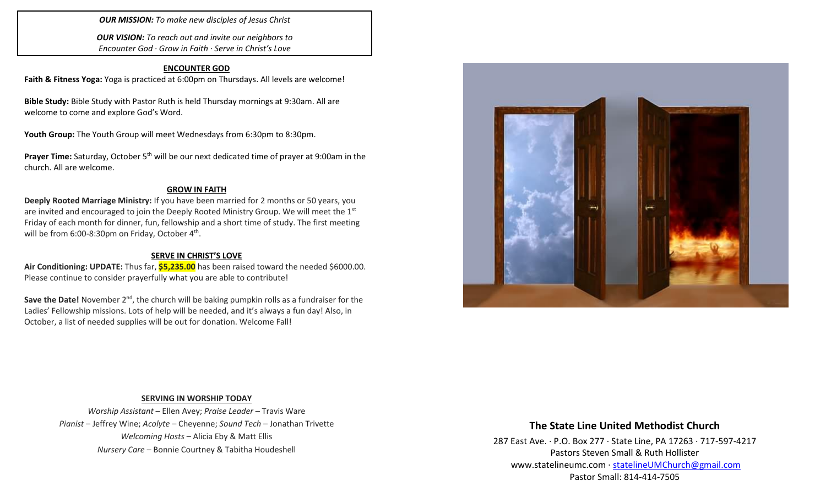*OUR MISSION: To make new disciples of Jesus Christ*

*OUR VISION: To reach out and invite our neighbors to Encounter God · Grow in Faith · Serve in Christ's Love*

## **ENCOUNTER GOD**

**Faith & Fitness Yoga:** Yoga is practiced at 6:00pm on Thursdays. All levels are welcome!

**Bible Study:** Bible Study with Pastor Ruth is held Thursday mornings at 9:30am. All are welcome to come and explore God's Word.

Youth Group: The Youth Group will meet Wednesdays from 6:30pm to 8:30pm.

**Prayer Time:** Saturday, October 5<sup>th</sup> will be our next dedicated time of prayer at 9:00am in the church. All are welcome.

### **GROW IN FAITH**

**Deeply Rooted Marriage Ministry:** If you have been married for 2 months or 50 years, you are invited and encouraged to join the Deeply Rooted Ministry Group. We will meet the  $1<sup>st</sup>$ Friday of each month for dinner, fun, fellowship and a short time of study. The first meeting will be from 6:00-8:30pm on Friday, October  $4<sup>th</sup>$ .

## **SERVE IN CHRIST'S LOVE**

**Air Conditioning: UPDATE:** Thus far, **\$5,235.00** has been raised toward the needed \$6000.00. Please continue to consider prayerfully what you are able to contribute!

**Save the Date!** November 2<sup>nd</sup>, the church will be baking pumpkin rolls as a fundraiser for the Ladies' Fellowship missions. Lots of help will be needed, and it's always a fun day! Also, in October, a list of needed supplies will be out for donation. Welcome Fall!



#### **SERVING IN WORSHIP TODAY**

*Worship Assistant* – Ellen Avey; *Praise Leader* – Travis Ware *Pianist* – Jeffrey Wine; *Acolyte* – Cheyenne; *Sound Tech* – Jonathan Trivette *Welcoming Hosts* – Alicia Eby & Matt Ellis *Nursery Care* – Bonnie Courtney & Tabitha Houdeshell

# **The State Line United Methodist Church**

287 East Ave. · P.O. Box 277 · State Line, PA 17263 · 717-597-4217 Pastors Steven Small & Ruth Hollister [www.statelineumc.com](http://www.statelineumc.com/) · [statelineUMChurch@gmail.com](mailto:statelineUMChurch@gmail.com) Pastor Small: 814-414-7505